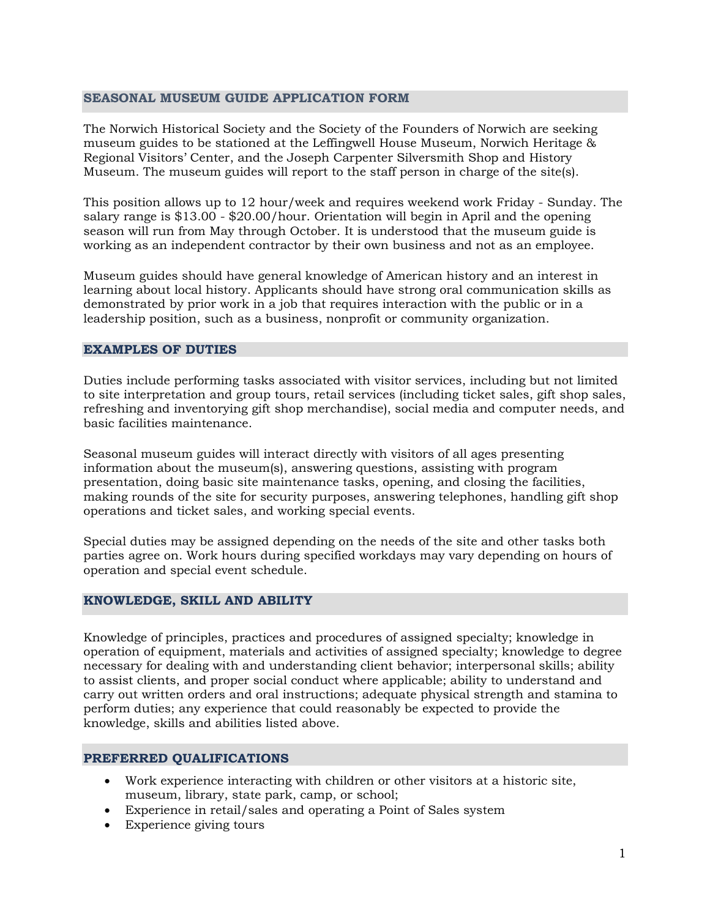## **SEASONAL MUSEUM GUIDE APPLICATION FORM**

The Norwich Historical Society and the Society of the Founders of Norwich are seeking museum guides to be stationed at the Leffingwell House Museum, Norwich Heritage & Regional Visitors' Center, and the Joseph Carpenter Silversmith Shop and History Museum. The museum guides will report to the staff person in charge of the site(s).

This position allows up to 12 hour/week and requires weekend work Friday - Sunday. The salary range is \$13.00 - \$20.00/hour. Orientation will begin in April and the opening season will run from May through October. It is understood that the museum guide is working as an independent contractor by their own business and not as an employee.

Museum guides should have general knowledge of American history and an interest in learning about local history. Applicants should have strong oral communication skills as demonstrated by prior work in a job that requires interaction with the public or in a leadership position, such as a business, nonprofit or community organization.

#### **EXAMPLES OF DUTIES**

Duties include performing tasks associated with visitor services, including but not limited to site interpretation and group tours, retail services (including ticket sales, gift shop sales, refreshing and inventorying gift shop merchandise), social media and computer needs, and basic facilities maintenance.

Seasonal museum guides will interact directly with visitors of all ages presenting information about the museum(s), answering questions, assisting with program presentation, doing basic site maintenance tasks, opening, and closing the facilities, making rounds of the site for security purposes, answering telephones, handling gift shop operations and ticket sales, and working special events.

Special duties may be assigned depending on the needs of the site and other tasks both parties agree on. Work hours during specified workdays may vary depending on hours of operation and special event schedule.

### **KNOWLEDGE, SKILL AND ABILITY**

Knowledge of principles, practices and procedures of assigned specialty; knowledge in operation of equipment, materials and activities of assigned specialty; knowledge to degree necessary for dealing with and understanding client behavior; interpersonal skills; ability to assist clients, and proper social conduct where applicable; ability to understand and carry out written orders and oral instructions; adequate physical strength and stamina to perform duties; any experience that could reasonably be expected to provide the knowledge, skills and abilities listed above.

### **PREFERRED QUALIFICATIONS**

- Work experience interacting with children or other visitors at a historic site, museum, library, state park, camp, or school;
- Experience in retail/sales and operating a Point of Sales system
- Experience giving tours